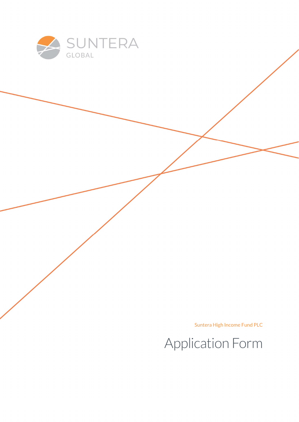

Suntera High Income Fund PLC

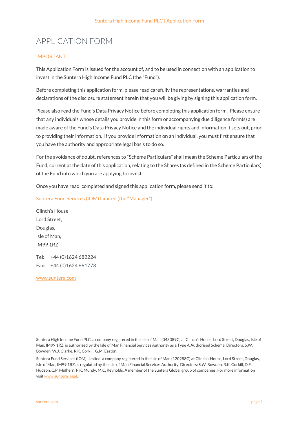# APPLICATION FORM

#### IMPORTANT

This Application Form is issued for the account of, and to be used in connection with an application to invest in the Suntera High Income Fund PLC (the "Fund").

Before completing this application form, please read carefully the representations, warranties and declarations of the disclosure statement herein that you will be giving by signing this application form.

Please also read the Fund's Data Privacy Notice before completing this application form. Please ensure that any individuals whose details you provide in this form or accompanying due diligence form(s) are made aware of the Fund's Data Privacy Notice and the individual rights and information it sets out, prior to providing their information. If you provide information on an individual, you must first ensure that you have the authority and appropriate legal basis to do so.

For the avoidance of doubt, references to "Scheme Particulars" shall mean the Scheme Particulars of the Fund, current at the date of this application, relating to the Shares (as defined in the Scheme Particulars) of the Fund into which you are applying to invest.

Once you have read, completed and signed this application form, please send it to:

Suntera Fund Services (IOM) Limited (the "Manager")

Clinch's House, Lord Street, Douglas, Isle of Man, IM99 1RZ

Tel: +44 (0)1624 682224 Fax: +44 (0)1624 691773

www.suntera.com

Suntera High Income Fund PLC, a company registered in the Isle of Man (043089C) at Clinch's House, Lord Street, Douglas, Isle of Man, IM99 1RZ, is authorised by the Isle of Man Financial Services Authority as a Type A Authorised Scheme. Directors: S.W. Bowden, W.J. Clarke, R.K. Corkill, G.M. Easton.

Suntera Fund Services (IOM) Limited, a company registered in the Isle of Man (120288C) at Clinch's House, Lord Street, Douglas, Isle of Man, IM99 1RZ, is regulated by the Isle of Man Financial Services Authority. Directors: S.W. Bowden, R.K. Corkill, D.F. Hudson, C.P. Mulhern, P.K. Mundy, M.C. Reynolds. A member of the Suntera Global group of companies. For more information visit www.suntera.legal.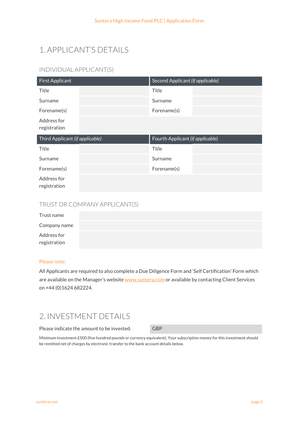# 1. APPLICANT'S DETAILS

## INDIVIDUAL APPLICANT(S)

| <b>First Applicant</b>          | Second Applicant (if applicable) |
|---------------------------------|----------------------------------|
| <b>Title</b>                    | Title                            |
| Surname                         | Surname                          |
| Forename(s)                     | Forename(s)                      |
| Address for<br>registration     |                                  |
|                                 |                                  |
| Third Applicant (if applicable) | Fourth Applicant (if applicable) |
| <b>Title</b>                    | Title                            |
| Surname                         | Surname                          |
| Forename(s)                     | Forename(s)                      |

### TRUST OR COMPANY APPLICANT(S)

| Trust name                  |  |  |
|-----------------------------|--|--|
| Company name                |  |  |
| Address for<br>registration |  |  |

#### Please note:

All Applicants are required to also complete a Due Diligence Form and 'Self Certification' Form which are available on the Manager's website www.suntera.com or available by contacting Client Services on +44 (0)1624 682224.

## 2. INVESTMENT DETAILS

Please indicate the amount to be invested. GBP

Minimum investment £500 (five hundred pounds or currency equivalent). Your subscription money for this investment should be remitted net of charges by electronic transfer to the bank account details below.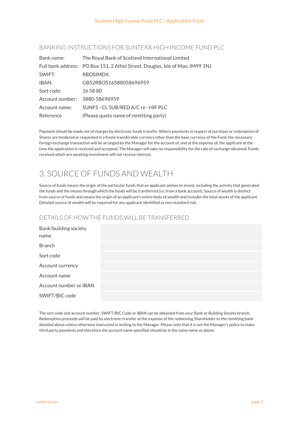#### BANKING INSTRUCTIONS FOR SUNTERA HIGH INCOME FUND PLC

| Bank name:      | The Royal Bank of Scotland International Limited                              |
|-----------------|-------------------------------------------------------------------------------|
|                 | Full bank address: PO Box 151, 2 Athol Street, Douglas, Isle of Man, IM99 1NJ |
| SWIFT:          | <b>RBOSIMDX</b>                                                               |
| IBAN:           | GB52RBOS16588058696959                                                        |
| Sort code:      | 16 58 80                                                                      |
| Account number: | 5880-58696959                                                                 |
| Account name:   | SUNFS - CL SUB/RED A/C re - HIF PLC                                           |
| Reference       | (Please quote name of remitting party)                                        |

Payment should be made net of charges by electronic funds transfer. Where payments in respect of purchase or redemption of Shares are tendered or requested in a freely transferable currency other than the base currency of the Fund, the necessary foreign exchange transaction will be arranged by the Manager for the account of, and at the expense of, the applicant at the time the application is received and accepted. The Manager will take no responsibility for the rate of exchange obtained. Funds received which are awaiting investment will not receive interest.

# 3. SOURCE OF FUNDS AND WEALTH

Source of funds means the origin of the particular funds that an applicant wishes to invest, including the activity that generated the funds and the means through which the funds will be transferred (i.e. from a bank account). Source of wealth is distinct from source of funds and means the origin of an applicant's entire body of wealth and includes the total assets of the applicant. Detailed source of wealth will be required for any applicant identified as non-standard risk.

### DETAILS OF HOW THE FUNDS WILL BE TRANSFERRED

| Bank/building society<br>name |  |
|-------------------------------|--|
| Branch                        |  |
| Sort code                     |  |
| Account currency              |  |
| Account name                  |  |
| Account number or IBAN        |  |
| SWIFT/BIC code                |  |
|                               |  |

The sort code and account number, SWIFT/BIC Code or IBAN can be obtained from your Bank or Building Society branch. Redemption proceeds will be paid by electronic transfer at the expense of the redeeming Shareholder to the remitting bank detailed above unless otherwise instructed in writing to the Manager. Please note that it is not the Manager's policy to make third party payments and therefore the account name specified should be in the same name as above.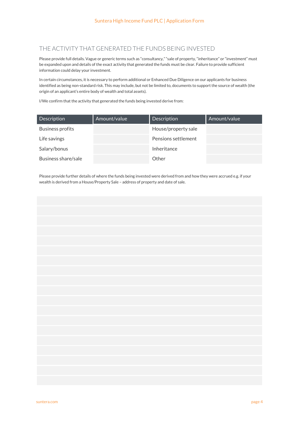### THE ACTIVITY THAT GENERATED THE FUNDS BEING INVESTED

Please provide full details. Vague or generic terms such as "consultancy," "sale of property, "inheritance" or "investment" must be expanded upon and details of the exact activity that generated the funds must be clear. Failure to provide sufficient information could delay your investment.

In certain circumstances, it is necessary to perform additional or Enhanced Due Diligence on our applicants for business identified as being non-standard risk. This may include, but not be limited to, documents to support the source of wealth (the origin of an applicant's entire body of wealth and total assets).

I/We confirm that the activity that generated the funds being invested derive from:

| <b>Description</b>  | Amount/value | Description         | Amount/value |
|---------------------|--------------|---------------------|--------------|
| Business profits    |              | House/property sale |              |
| Life savings        |              | Pensions settlement |              |
| Salary/bonus        |              | Inheritance         |              |
| Business share/sale |              | Other               |              |

Please provide further details of where the funds being invested were derived from and how they were accrued e.g. if your wealth is derived from a House/Property Sale – address of property and date of sale.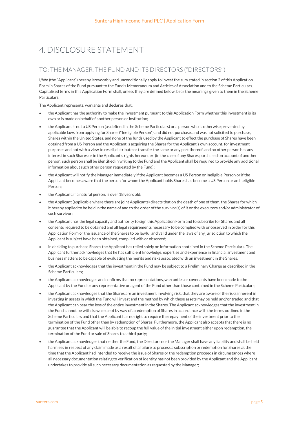# 4. DISCLOSURE STATEMENT

### TO: THE MANAGER, THE FUND AND ITS DIRECTORS ("DIRECTORS'')

I/We (the "Applicant") hereby irrevocably and unconditionally apply to invest the sum stated in section 2 of this Application Form in Shares of the Fund pursuant to the Fund's Memorandum and Articles of Association and to the Scheme Particulars. Capitalised terms in this Application Form shall, unless they are defined below, bear the meanings given to them in the Scheme Particulars.

The Applicant represents, warrants and declares that:

- the Applicant has the authority to make the investment pursuant to this Application Form whether this investment is its own or is made on behalf of another person or institution;
- the Applicant is not a US Person (as defined in the Scheme Particulars) or a person who is otherwise prevented by applicable laws from applying for Shares ("Ineligible Person") and did not purchase, and was not solicited to purchase, Shares within the United States, and none of the funds used by the Applicant to effect the purchase of Shares have been obtained from a US Person and the Applicant is acquiring the Shares for the Applicant's own account, for investment purposes and not with a view to resell, distribute or transfer the same or any part thereof, and no other person has any interest in such Shares or in the Applicant's rights hereunder (in the case of any Shares purchased on account of another person, such person shall be identified in writing to the Fund and the Applicant shall be required to provide any additional information about such other person requested by the Fund);
- the Applicant will notify the Manager immediately if the Applicant becomes a US Person or Ineligible Person or if the Applicant becomes aware that the person for whom the Applicant holds Shares has become a US Person or an Ineligible Person;
- the Applicant, if a natural person, is over 18 years old;
- the Applicant (applicable where there are joint Applicants) directs that on the death of one of them, the Shares for which it hereby applied to be held in the name of and to the order of the survivor(s) of it or the executors and/or administrator of such survivor;
- the Applicant has the legal capacity and authority to sign this Application Form and to subscribe for Shares and all consents required to be obtained and all legal requirements necessary to be complied with or observed in order for this Application Form or the issuance of the Shares to be lawful and valid under the laws of any jurisdiction to which the Applicant is subject have been obtained, complied with or observed;
- in deciding to purchase Shares the Applicant has relied solely on information contained in the Scheme Particulars. The Applicant further acknowledges that he has sufficient knowledge, expertise and experience in financial, investment and business matters to be capable of evaluating the merits and risks associated with an investment in the Shares;
- the Applicant acknowledges that the investment in the Fund may be subject to a Preliminary Charge as described in the Scheme Particulars;
- the Applicant acknowledges and confirms that no representations, warranties or covenants have been made to the Applicant by the Fund or any representative or agent of the Fund other than those contained in the Scheme Particulars;
- the Applicant acknowledges that the Shares are an investment involving risk, that they are aware of the risks inherent in investing in assets in which the Fund will invest and the method by which these assets may be held and/or traded and that the Applicant can bear the loss of the entire investment in the Shares. The Applicant acknowledges that the investment in the Fund cannot be withdrawn except by way of a redemption of Shares in accordance with the terms outlined in the Scheme Particulars and that the Applicant has no right to require the repayment of the investment prior to the termination of the Fund other than by redemption of Shares. Furthermore, the Applicant also accepts that there is no guarantee that the Applicant will be able to recoup the full value of the initial investment either upon redemption, the termination of the Fund or sale of Shares to a third party;
- the Applicant acknowledges that neither the Fund, the Directors nor the Manager shall have any liability and shall be held harmless in respect of any claim made as a result of a failure to process a subscription or redemption for Shares at the time that the Applicant had intended to receive the issue of Shares or the redemption proceeds in circumstances where all necessary documentation relating to verification of identity has not been provided by the Applicant and the Applicant undertakes to provide all such necessary documentation as requested by the Manager;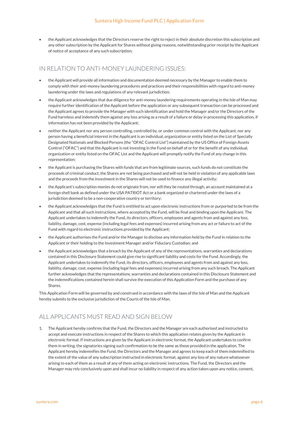the Applicant acknowledges that the Directors reserve the right to reject in their absolute discretion this subscription and any other subscription by the Applicant for Shares without giving reasons, notwithstanding prior receipt by the Applicant of notice of acceptance of any such subscription;

#### IN RELATION TO ANTI-MONEY LAUNDERING ISSUES:

- the Applicant will provide all information and documentation deemed necessary by the Manager to enable them to comply with their anti-money laundering procedures and practices and their responsibilities with regard to anti-money laundering under the laws and regulations of any relevant jurisdiction;
- the Applicant acknowledges that due diligence for anti-money laundering requirements operating in the Isle of Man may require further identification of the Applicant before the application or any subsequent transaction can be processed and the Applicant agrees to provide the Manager with such identification and hold the Manager and/or the Directors of the Fund harmless and indemnify them against any loss arising as a result of a failure or delay in processing this application, if information has not been provided by the Applicant;
- neither the Applicant nor any person controlling, controlled by, or under common control with the Applicant, nor any person having a beneficial interest in the Applicant is an individual, organization or entity listed on the List of Specially Designated Nationals and Blocked Persons (the "OFAC Control List") maintained by the US Office of Foreign Assets Control ("OFAC") and that the Applicant is not investing in the Fund on behalf of or for the benefit of any individual, organization or entity listed on the OFAC List and the Applicant will promptly notify the Fund of any change in this representation;
- the Applicant is purchasing the Shares with funds that are from legitimate sources, such funds do not constitute the proceeds of criminal conduct, the Shares are not being purchased and will not be held in violation of any applicable laws and the proceeds from the investment in the Shares will not be used to finance any illegal activity;
- the Applicant's subscription monies do not originate from, nor will they be routed through, an account maintained at a foreign shell bank as defined under the USA PATRIOT Act or a bank organized or chartered under the laws of a jurisdiction deemed to be a non-cooperative country or territory;
- the Applicant acknowledges that the Fund is entitled to act upon electronic instructions from or purported to be from the Applicant and that all such instructions, where accepted by the Fund, will be final and binding upon the Applicant. The Applicant undertakes to indemnify the Fund, its directors, officers, employees and agents from and against any loss, liability, damage, cost, expense (including legal fees and expenses) incurred arising from any act or failure to act of the Fund with regard to electronic instructions provided by the Applicant;
- the Applicant authorises the Fund and/or the Manager to disclose any information held by the Fund in relation to the Applicant or their holding to the Investment Manager and/or Fiduciary Custodian; and
- the Applicant acknowledges that a breach by the Applicant of any of the representations, warranties and declarations contained in this Disclosure Statement could give rise to significant liability and costs for the Fund. Accordingly, the Applicant undertakes to indemnify the Fund, its directors, officers, employees and agents from and against any loss, liability, damage, cost, expense (including legal fees and expenses) incurred arising from any such breach. The Applicant further acknowledges that the representations, warranties and declarations contained in this Disclosure Statement and the indemnifications contained herein shall survive the execution of this Application Form and the purchase of any Shares.

This Application Form will be governed by and construed in accordance with the laws of the Isle of Man and the Applicant hereby submits to the exclusive jurisdiction of the Courts of the Isle of Man.

## ALL APPLICANTS MUST READ AND SIGN BELOW

1. The Applicant hereby confirms that the Fund, the Directors and the Manager are each authorised and instructed to accept and execute instructions in respect of the Shares to which this application relates given by the Applicant in electronic format. If instructions are given by the Applicant in electronic format, the Applicant undertakes to confirm them in writing, the signatories signing such confirmation to be the same as those provided in the application. The Applicant hereby indemnifies the Fund, the Directors and the Manager and agrees to keep each of them indemnified to the extent of the value of any subscription instructed in electronic format, against any loss of any nature whatsoever arising to each of them as a result of any of them acting on electronic instructions. The Fund, the Directors and the Manager may rely conclusively upon and shall incur no liability in respect of any action taken upon any notice, consent,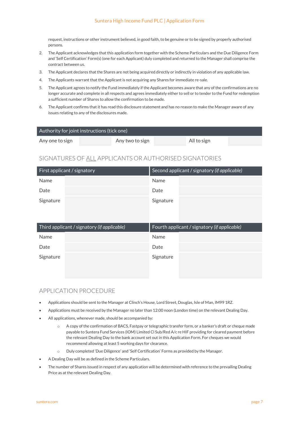#### Suntera High Income Fund PLC | Application Form

request, instructions or other instrument believed, in good faith, to be genuine or to be signed by properly authorised persons.

- 2. The Applicant acknowledges that this application form together with the Scheme Particulars and the Due Diligence Form and 'Self Certification' Form(s) (one for each Applicant) duly completed and returned to the Manager shall comprise the contract between us.
- 3. The Applicant declares that the Shares are not being acquired directly or indirectly in violation of any applicable law.
- 4. The Applicants warrant that the Applicant is not acquiring any Shares for immediate re-sale.
- 5. The Applicant agrees to notify the Fund immediately if the Applicant becomes aware that any of the confirmations are no longer accurate and complete in all respects and agrees immediately either to sell or to tender to the Fund for redemption a sufficient number of Shares to allow the confirmation to be made.
- 6. The Applicant confirms that it has read this disclosure statement and has no reason to make the Manager aware of any issues relating to any of the disclosures made.

| Authority for joint instructions (tick one) |                 |             |  |
|---------------------------------------------|-----------------|-------------|--|
| Any one to sign                             | Any two to sign | All to sign |  |

#### SIGNATURES OF ALL APPLICANTS OR AUTHORISED SIGNATORIES

| First applicant / signatory | Second applicant / signatory (if applicable) |
|-----------------------------|----------------------------------------------|
| Name                        | Name                                         |
| Date                        | Date                                         |
| Signature                   | Signature                                    |

| Third applicant / signatory (if applicable) | Fourth applicant / signatory (if applicable) |
|---------------------------------------------|----------------------------------------------|
| Name                                        | Name                                         |
| Date                                        | Date                                         |
| Signature                                   | Signature                                    |
|                                             |                                              |

#### APPLICATION PROCEDURE

- Applications should be sent to the Manager at Clinch's House, Lord Street, Douglas, Isle of Man, IM99 1RZ.
- Applications must be received by the Manager no later than 12:00 noon (London time) on the relevant Dealing Day.
- All applications, whenever made, should be accompanied by:
	- o A copy of the confirmation of BACS, Fastpay or telegraphic transfer form, or a banker's draft or cheque made payable to Suntera Fund Services (IOM) Limited Cl Sub/Red A/c re HIF providing for cleared payment before the relevant Dealing Day to the bank account set out in this Application Form. For cheques we would recommend allowing at least 5 working days for clearance.
	- o Duly completed 'Due Diligence' and 'Self Certification' Forms as provided by the Manager.
- A Dealing Day will be as defined in the Scheme Particulars.
- The number of Shares issued in respect of any application will be determined with reference to the prevailing Dealing Price as at the relevant Dealing Day.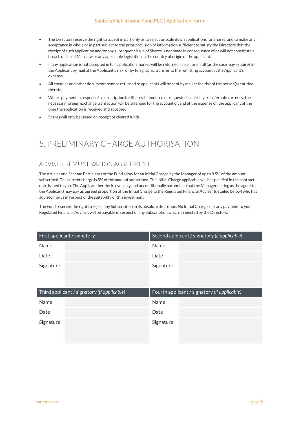#### Suntera High Income Fund PLC | Application Form

- The Directors reserve the right to accept in part only or to reject or scale down applications for Shares, and to make any acceptance in whole or in part subject to the prior provision of information sufficient to satisfy the Directors that the receipt of such application and/or any subsequent issue of Shares is not made in consequence of or will not constitute a breach of Isle of Man Law or any applicable legislation in the country of origin of the applicant.
- If any application is not accepted in full, application monies will be returned in part or in full (as the case may require) to the Applicant by mail at the Applicant's risk, or by telegraphic transfer to the remitting account at the Applicant's expense.
- All cheques and other documents sent or returned to applicants will be sent by mail at the risk of the person(s) entitled thereto.
- Where payment in respect of a subscription for Shares is tendered or requested in a freely transferable currency, the necessary foreign exchange transaction will be arranged for the account of, and at the expense of, the applicant at the time the application is received and accepted.
- Shares will only be issued on receipt of cleared funds.

# 5. PRELIMINARY CHARGE AUTHORISATION

### ADVISER REMUNERATION AGREEMENT

The Articles and Scheme Particulars of the Fund allow for an Initial Charge by the Manager of up to 8.5% of the amount subscribed. The current charge is 5% of the amount subscribed. The Initial Charge applicable will be specified in the contract note issued to you. The Applicant hereby irrevocably and unconditionally authorises that the Manager (acting as the agent to the Applicant) may pay an agreed proportion of the Initial Charge to the Regulated Financial Adviser (detailed below) who has advised me/us in respect of the suitability of this investment.

The Fund reserves the right to reject any Subscription in its absolute discretion. No Initial Charge, nor any payment to your Regulated Financial Adviser, will be payable in respect of any Subscription which is rejected by the Directors.

| First applicant / signatory | Second applicant / signatory (if applicable) |
|-----------------------------|----------------------------------------------|
| <b>Name</b>                 | Name                                         |
| Date                        | Date                                         |
| Signature                   | Signature                                    |

| Third applicant / signatory (if applicable) |             | Fourth applicant / signatory (if applicable) |
|---------------------------------------------|-------------|----------------------------------------------|
| Name                                        | <b>Name</b> |                                              |
| Date                                        | Date        |                                              |
| Signature                                   | Signature   |                                              |